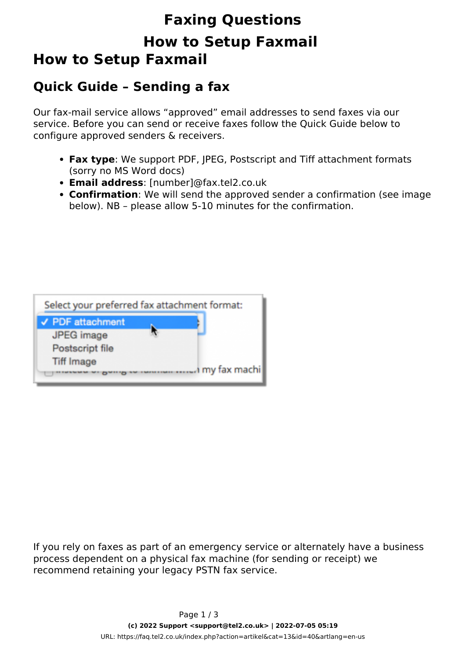# **Faxing Questions How to Setup Faxmail How to Setup Faxmail**

### **Quick Guide – Sending a fax**

Our fax-mail service allows "approved" email addresses to send faxes via our service. Before you can send or receive faxes follow the Quick Guide below to configure approved senders & receivers.

- **Fax type**: We support PDF, JPEG, Postscript and Tiff attachment formats (sorry no MS Word docs)
- **Email address**: [number]@fax.tel2.co.uk
- **Confirmation**: We will send the approved sender a confirmation (see image below). NB – please allow 5-10 minutes for the confirmation.



If you rely on faxes as part of an emergency service or alternately have a business process dependent on a physical fax machine (for sending or receipt) we recommend retaining your legacy PSTN fax service.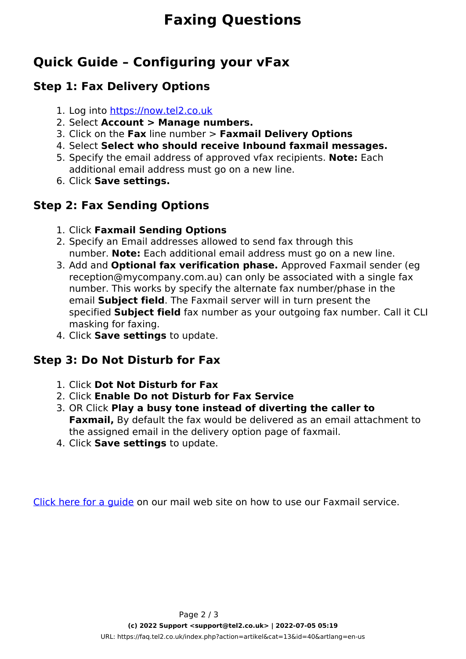# **Faxing Questions**

## **Quick Guide – Configuring your vFax**

#### **Step 1: Fax Delivery Options**

- 1. Log into [https://now.tel2.co.uk](https://now.tel2.co.uk/)
- 2. Select **Account > Manage numbers.**
- 3. Click on the **Fax** line number > **Faxmail Delivery Options**
- 4. Select **Select who should receive Inbound faxmail messages.**
- 5. Specify the email address of approved vfax recipients. **Note:** Each additional email address must go on a new line.
- 6. Click **Save settings.**

### **Step 2: Fax Sending Options**

- 1. Click **Faxmail Sending Options**
- 2. Specify an Email addresses allowed to send fax through this number. **Note:** Each additional email address must go on a new line.
- 3. Add and **Optional fax verification phase.** Approved Faxmail sender (eg reception@mycompany.com.au) can only be associated with a single fax number. This works by specify the alternate fax number/phase in the email **Subject field**. The Faxmail server will in turn present the specified **Subject field** fax number as your outgoing fax number. Call it CLI masking for faxing.
- 4. Click **Save settings** to update.

### **Step 3: Do Not Disturb for Fax**

- 1. Click **Dot Not Disturb for Fax**
- 2. Click **Enable Do not Disturb for Fax Service**
- 3. OR Click **Play a busy tone instead of diverting the caller to Faxmail,** By default the fax would be delivered as an email attachment to the assigned email in the delivery option page of faxmail.
- 4. Click **Save settings** to update.

[Click here for a guide](https://tel2.co.uk/faxmail.html) on our mail web site on how to use our Faxmail service.